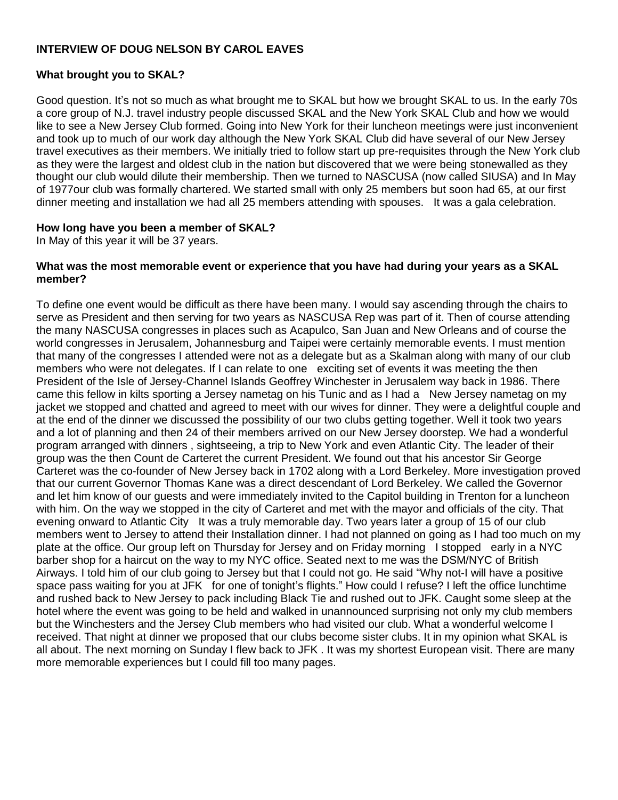# **INTERVIEW OF DOUG NELSON BY CAROL EAVES**

### **What brought you to SKAL?**

Good question. It's not so much as what brought me to SKAL but how we brought SKAL to us. In the early 70s a core group of N.J. travel industry people discussed SKAL and the New York SKAL Club and how we would like to see a New Jersey Club formed. Going into New York for their luncheon meetings were just inconvenient and took up to much of our work day although the New York SKAL Club did have several of our New Jersey travel executives as their members. We initially tried to follow start up pre-requisites through the New York club as they were the largest and oldest club in the nation but discovered that we were being stonewalled as they thought our club would dilute their membership. Then we turned to NASCUSA (now called SIUSA) and In May of 1977our club was formally chartered. We started small with only 25 members but soon had 65, at our first dinner meeting and installation we had all 25 members attending with spouses. It was a gala celebration.

### **How long have you been a member of SKAL?**

In May of this year it will be 37 years.

#### **What was the most memorable event or experience that you have had during your years as a SKAL member?**

To define one event would be difficult as there have been many. I would say ascending through the chairs to serve as President and then serving for two years as NASCUSA Rep was part of it. Then of course attending the many NASCUSA congresses in places such as Acapulco, San Juan and New Orleans and of course the world congresses in Jerusalem, Johannesburg and Taipei were certainly memorable events. I must mention that many of the congresses I attended were not as a delegate but as a Skalman along with many of our club members who were not delegates. If I can relate to one exciting set of events it was meeting the then President of the Isle of Jersey-Channel Islands Geoffrey Winchester in Jerusalem way back in 1986. There came this fellow in kilts sporting a Jersey nametag on his Tunic and as I had a New Jersey nametag on my jacket we stopped and chatted and agreed to meet with our wives for dinner. They were a delightful couple and at the end of the dinner we discussed the possibility of our two clubs getting together. Well it took two years and a lot of planning and then 24 of their members arrived on our New Jersey doorstep. We had a wonderful program arranged with dinners , sightseeing, a trip to New York and even Atlantic City. The leader of their group was the then Count de Carteret the current President. We found out that his ancestor Sir George Carteret was the co-founder of New Jersey back in 1702 along with a Lord Berkeley. More investigation proved that our current Governor Thomas Kane was a direct descendant of Lord Berkeley. We called the Governor and let him know of our guests and were immediately invited to the Capitol building in Trenton for a luncheon with him. On the way we stopped in the city of Carteret and met with the mayor and officials of the city. That evening onward to Atlantic City It was a truly memorable day. Two years later a group of 15 of our club members went to Jersey to attend their Installation dinner. I had not planned on going as I had too much on my plate at the office. Our group left on Thursday for Jersey and on Friday morning I stopped early in a NYC barber shop for a haircut on the way to my NYC office. Seated next to me was the DSM/NYC of British Airways. I told him of our club going to Jersey but that I could not go. He said "Why not-I will have a positive space pass waiting for you at JFK for one of tonight's flights." How could I refuse? I left the office lunchtime and rushed back to New Jersey to pack including Black Tie and rushed out to JFK. Caught some sleep at the hotel where the event was going to be held and walked in unannounced surprising not only my club members but the Winchesters and the Jersey Club members who had visited our club. What a wonderful welcome I received. That night at dinner we proposed that our clubs become sister clubs. It in my opinion what SKAL is all about. The next morning on Sunday I flew back to JFK . It was my shortest European visit. There are many more memorable experiences but I could fill too many pages.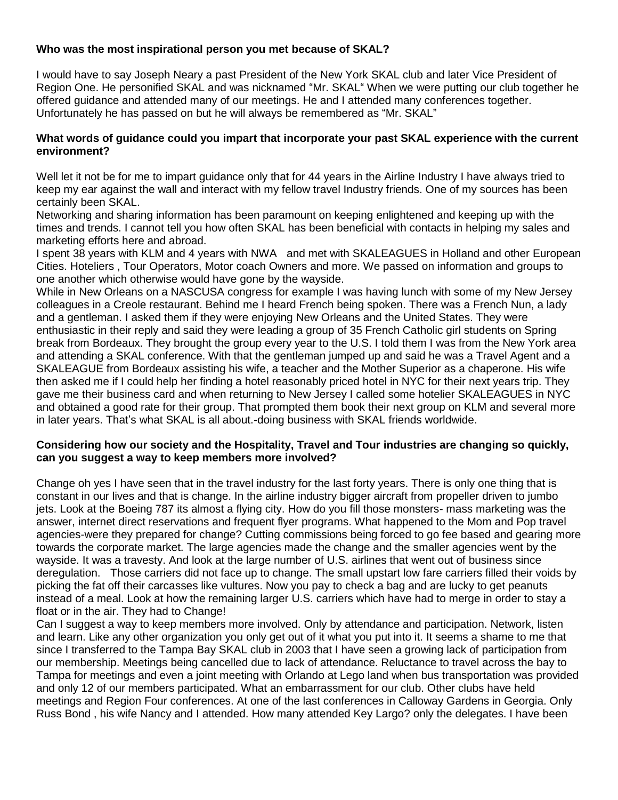## **Who was the most inspirational person you met because of SKAL?**

I would have to say Joseph Neary a past President of the New York SKAL club and later Vice President of Region One. He personified SKAL and was nicknamed "Mr. SKAL" When we were putting our club together he offered guidance and attended many of our meetings. He and I attended many conferences together. Unfortunately he has passed on but he will always be remembered as "Mr. SKAL"

### **What words of guidance could you impart that incorporate your past SKAL experience with the current environment?**

Well let it not be for me to impart guidance only that for 44 years in the Airline Industry I have always tried to keep my ear against the wall and interact with my fellow travel Industry friends. One of my sources has been certainly been SKAL.

Networking and sharing information has been paramount on keeping enlightened and keeping up with the times and trends. I cannot tell you how often SKAL has been beneficial with contacts in helping my sales and marketing efforts here and abroad.

I spent 38 years with KLM and 4 years with NWA and met with SKALEAGUES in Holland and other European Cities. Hoteliers , Tour Operators, Motor coach Owners and more. We passed on information and groups to one another which otherwise would have gone by the wayside.

While in New Orleans on a NASCUSA congress for example I was having lunch with some of my New Jersey colleagues in a Creole restaurant. Behind me I heard French being spoken. There was a French Nun, a lady and a gentleman. I asked them if they were enjoying New Orleans and the United States. They were enthusiastic in their reply and said they were leading a group of 35 French Catholic girl students on Spring break from Bordeaux. They brought the group every year to the U.S. I told them I was from the New York area and attending a SKAL conference. With that the gentleman jumped up and said he was a Travel Agent and a SKALEAGUE from Bordeaux assisting his wife, a teacher and the Mother Superior as a chaperone. His wife then asked me if I could help her finding a hotel reasonably priced hotel in NYC for their next years trip. They gave me their business card and when returning to New Jersey I called some hotelier SKALEAGUES in NYC and obtained a good rate for their group. That prompted them book their next group on KLM and several more in later years. That's what SKAL is all about.-doing business with SKAL friends worldwide.

### **Considering how our society and the Hospitality, Travel and Tour industries are changing so quickly, can you suggest a way to keep members more involved?**

Change oh yes I have seen that in the travel industry for the last forty years. There is only one thing that is constant in our lives and that is change. In the airline industry bigger aircraft from propeller driven to jumbo jets. Look at the Boeing 787 its almost a flying city. How do you fill those monsters- mass marketing was the answer, internet direct reservations and frequent flyer programs. What happened to the Mom and Pop travel agencies-were they prepared for change? Cutting commissions being forced to go fee based and gearing more towards the corporate market. The large agencies made the change and the smaller agencies went by the wayside. It was a travesty. And look at the large number of U.S. airlines that went out of business since deregulation. Those carriers did not face up to change. The small upstart low fare carriers filled their voids by picking the fat off their carcasses like vultures. Now you pay to check a bag and are lucky to get peanuts instead of a meal. Look at how the remaining larger U.S. carriers which have had to merge in order to stay a float or in the air. They had to Change!

Can I suggest a way to keep members more involved. Only by attendance and participation. Network, listen and learn. Like any other organization you only get out of it what you put into it. It seems a shame to me that since I transferred to the Tampa Bay SKAL club in 2003 that I have seen a growing lack of participation from our membership. Meetings being cancelled due to lack of attendance. Reluctance to travel across the bay to Tampa for meetings and even a joint meeting with Orlando at Lego land when bus transportation was provided and only 12 of our members participated. What an embarrassment for our club. Other clubs have held meetings and Region Four conferences. At one of the last conferences in Calloway Gardens in Georgia. Only Russ Bond , his wife Nancy and I attended. How many attended Key Largo? only the delegates. I have been